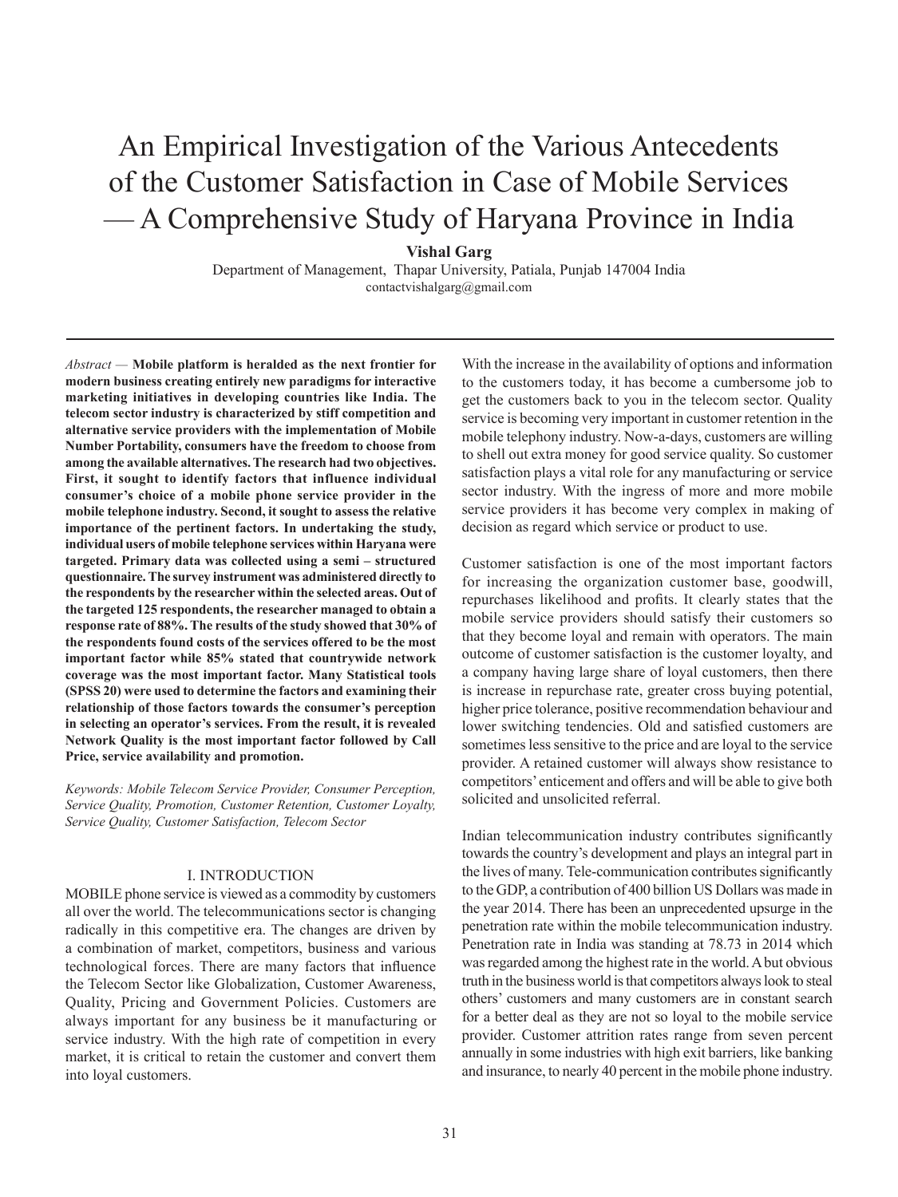# An Empirical Investigation of the Various Antecedents of the Customer Satisfaction in Case of Mobile Services — A Comprehensive Study of Haryana Province in India

**Vishal Garg**

Department of Management, Thapar University, Patiala, Punjab 147004 India contactvishalgarg@gmail.com

*Abstract —* **Mobile platform is heralded as the next frontier for modern business creating entirely new paradigms for interactive marketing initiatives in developing countries like India. The telecom sector industry is characterized by stiff competition and alternative service providers with the implementation of Mobile Number Portability, consumers have the freedom to choose from among the available alternatives. The research had two objectives. First, it sought to identify factors that influence individual consumer's choice of a mobile phone service provider in the mobile telephone industry. Second, it sought to assess the relative importance of the pertinent factors. In undertaking the study, individual users of mobile telephone services within Haryana were targeted. Primary data was collected using a semi – structured questionnaire. The survey instrument was administered directly to the respondents by the researcher within the selected areas. Out of the targeted 125 respondents, the researcher managed to obtain a response rate of 88%. The results of the study showed that 30% of the respondents found costs of the services offered to be the most important factor while 85% stated that countrywide network coverage was the most important factor. Many Statistical tools (SPSS 20) were used to determine the factors and examining their relationship of those factors towards the consumer's perception in selecting an operator's services. From the result, it is revealed Network Quality is the most important factor followed by Call Price, service availability and promotion.**

*Keywords: Mobile Telecom Service Provider, Consumer Perception, Service Quality, Promotion, Customer Retention, Customer Loyalty, Service Quality, Customer Satisfaction, Telecom Sector*

## I. INTRODUCTION

MOBILE phone service is viewed as a commodity by customers all over the world. The telecommunications sector is changing radically in this competitive era. The changes are driven by a combination of market, competitors, business and various technological forces. There are many factors that influence the Telecom Sector like Globalization, Customer Awareness, Quality, Pricing and Government Policies. Customers are always important for any business be it manufacturing or service industry. With the high rate of competition in every market, it is critical to retain the customer and convert them into loyal customers.

With the increase in the availability of options and information to the customers today, it has become a cumbersome job to get the customers back to you in the telecom sector. Quality service is becoming very important in customer retention in the mobile telephony industry. Now-a-days, customers are willing to shell out extra money for good service quality. So customer satisfaction plays a vital role for any manufacturing or service sector industry. With the ingress of more and more mobile service providers it has become very complex in making of decision as regard which service or product to use.

Customer satisfaction is one of the most important factors for increasing the organization customer base, goodwill, repurchases likelihood and profits. It clearly states that the mobile service providers should satisfy their customers so that they become loyal and remain with operators. The main outcome of customer satisfaction is the customer loyalty, and a company having large share of loyal customers, then there is increase in repurchase rate, greater cross buying potential, higher price tolerance, positive recommendation behaviour and lower switching tendencies. Old and satisfied customers are sometimes less sensitive to the price and are loyal to the service provider. A retained customer will always show resistance to competitors' enticement and offers and will be able to give both solicited and unsolicited referral.

Indian telecommunication industry contributes significantly towards the country's development and plays an integral part in the lives of many. Tele-communication contributes significantly to the GDP, a contribution of 400 billion US Dollars was made in the year 2014. There has been an unprecedented upsurge in the penetration rate within the mobile telecommunication industry. Penetration rate in India was standing at 78.73 in 2014 which was regarded among the highest rate in the world. A but obvious truth in the business world is that competitors always look to steal others' customers and many customers are in constant search for a better deal as they are not so loyal to the mobile service provider. Customer attrition rates range from seven percent annually in some industries with high exit barriers, like banking and insurance, to nearly 40 percent in the mobile phone industry.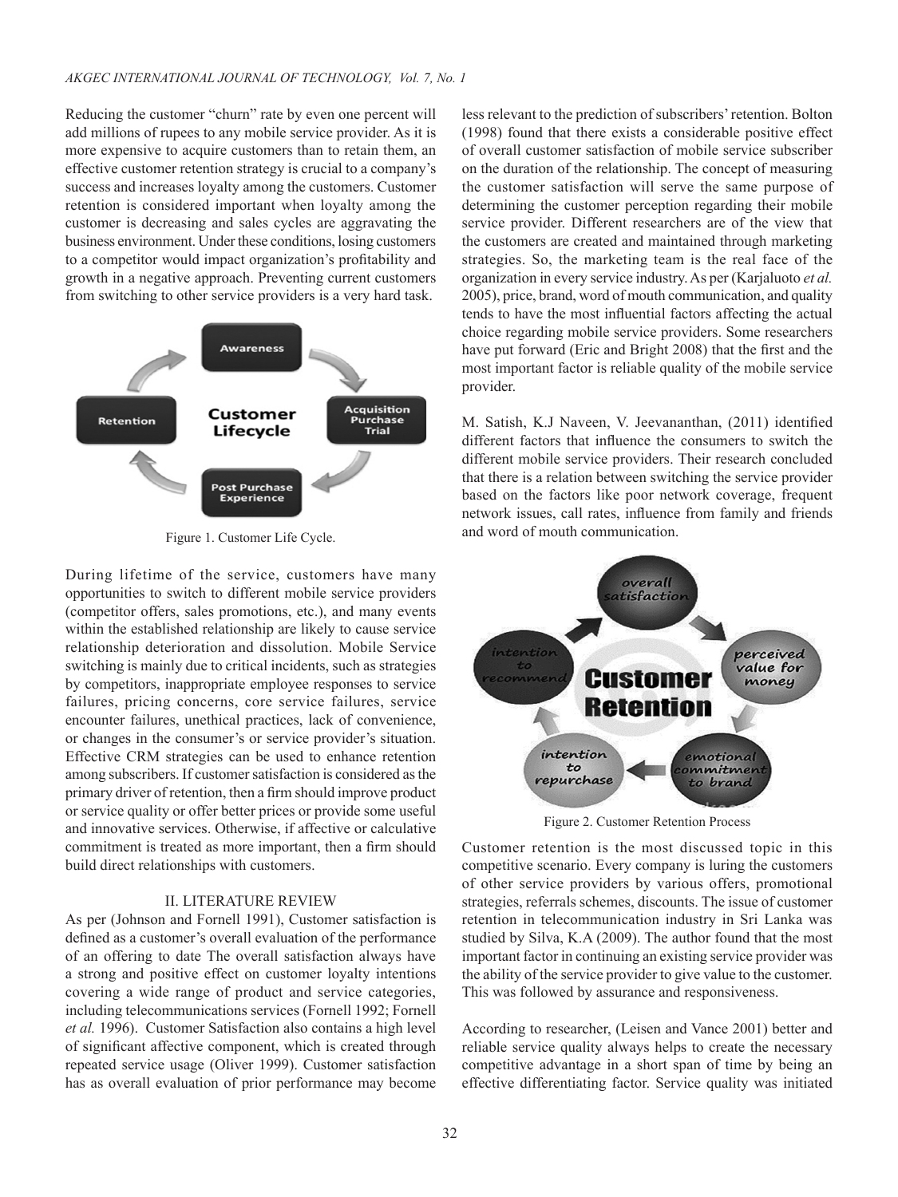Reducing the customer "churn" rate by even one percent will add millions of rupees to any mobile service provider. As it is more expensive to acquire customers than to retain them, an effective customer retention strategy is crucial to a company's success and increases loyalty among the customers. Customer retention is considered important when loyalty among the customer is decreasing and sales cycles are aggravating the business environment. Under these conditions, losing customers to a competitor would impact organization's profitability and growth in a negative approach. Preventing current customers from switching to other service providers is a very hard task.



During lifetime of the service, customers have many opportunities to switch to different mobile service providers (competitor offers, sales promotions, etc.), and many events within the established relationship are likely to cause service relationship deterioration and dissolution. Mobile Service switching is mainly due to critical incidents, such as strategies by competitors, inappropriate employee responses to service failures, pricing concerns, core service failures, service encounter failures, unethical practices, lack of convenience, or changes in the consumer's or service provider's situation. Effective CRM strategies can be used to enhance retention among subscribers. If customer satisfaction is considered as the primary driver of retention, then a firm should improve product or service quality or offer better prices or provide some useful and innovative services. Otherwise, if affective or calculative commitment is treated as more important, then a firm should build direct relationships with customers.

## II. LITERATURE REVIEW

As per (Johnson and Fornell 1991), Customer satisfaction is defined as a customer's overall evaluation of the performance of an offering to date The overall satisfaction always have a strong and positive effect on customer loyalty intentions covering a wide range of product and service categories, including telecommunications services (Fornell 1992; Fornell *et al.* 1996). Customer Satisfaction also contains a high level of significant affective component, which is created through repeated service usage (Oliver 1999). Customer satisfaction has as overall evaluation of prior performance may become less relevant to the prediction of subscribers' retention. Bolton (1998) found that there exists a considerable positive effect of overall customer satisfaction of mobile service subscriber on the duration of the relationship. The concept of measuring the customer satisfaction will serve the same purpose of determining the customer perception regarding their mobile service provider. Different researchers are of the view that the customers are created and maintained through marketing strategies. So, the marketing team is the real face of the organization in every service industry. As per (Karjaluoto *et al.*  2005), price, brand, word of mouth communication, and quality tends to have the most influential factors affecting the actual choice regarding mobile service providers. Some researchers have put forward (Eric and Bright 2008) that the first and the most important factor is reliable quality of the mobile service provider.

M. Satish, K.J Naveen, V. Jeevananthan, (2011) identified different factors that influence the consumers to switch the different mobile service providers. Their research concluded that there is a relation between switching the service provider based on the factors like poor network coverage, frequent network issues, call rates, influence from family and friends Figure 1. Customer Life Cycle. **And Strategie and word of mouth communication.** 



Figure 2. Customer Retention Process

Customer retention is the most discussed topic in this competitive scenario. Every company is luring the customers of other service providers by various offers, promotional strategies, referrals schemes, discounts. The issue of customer retention in telecommunication industry in Sri Lanka was studied by Silva, K.A (2009). The author found that the most important factor in continuing an existing service provider was the ability of the service provider to give value to the customer. This was followed by assurance and responsiveness.

According to researcher, (Leisen and Vance 2001) better and reliable service quality always helps to create the necessary competitive advantage in a short span of time by being an effective differentiating factor. Service quality was initiated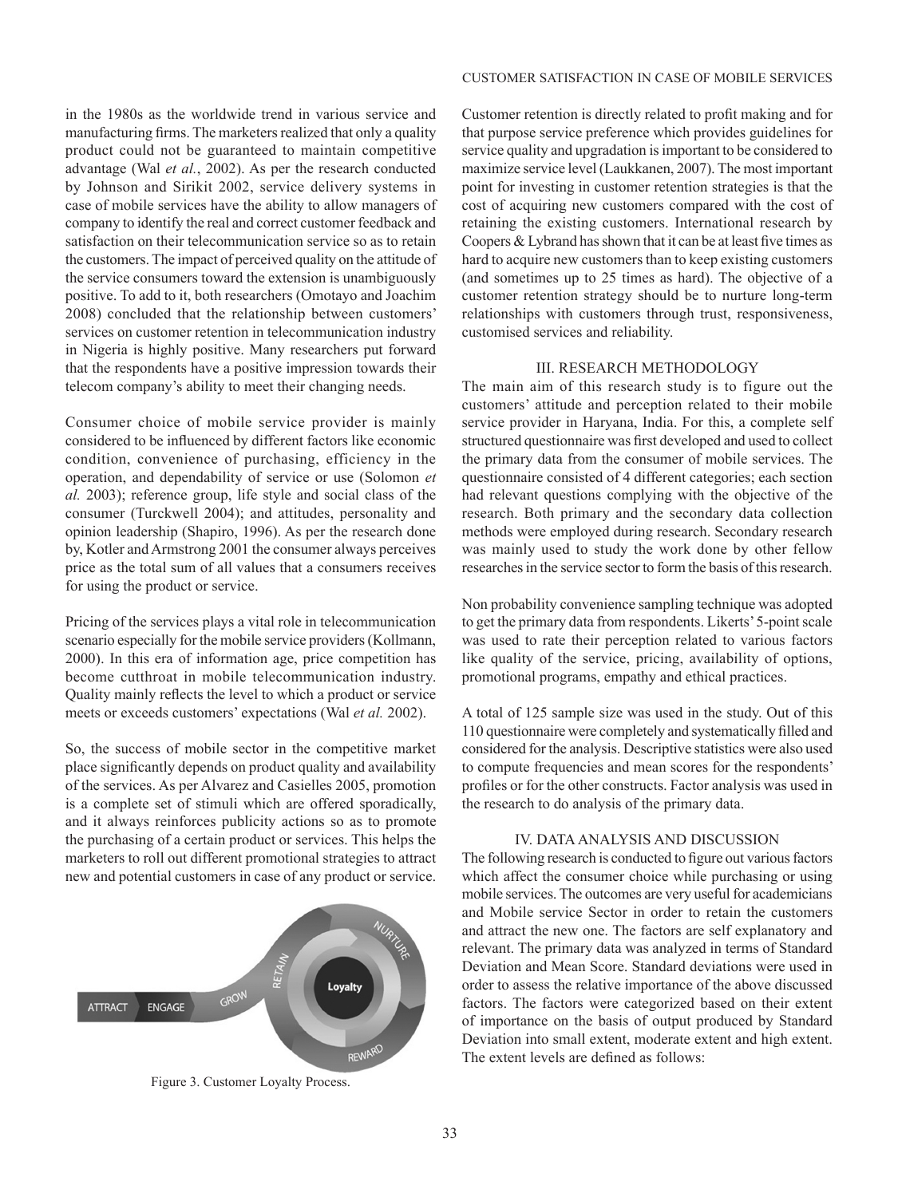## CUSTOMER SATISFACTION IN CASE OF MOBILE SERVICES

in the 1980s as the worldwide trend in various service and manufacturing firms. The marketers realized that only a quality product could not be guaranteed to maintain competitive advantage (Wal *et al.*, 2002). As per the research conducted by Johnson and Sirikit 2002, service delivery systems in case of mobile services have the ability to allow managers of company to identify the real and correct customer feedback and satisfaction on their telecommunication service so as to retain the customers. The impact of perceived quality on the attitude of the service consumers toward the extension is unambiguously positive. To add to it, both researchers (Omotayo and Joachim 2008) concluded that the relationship between customers' services on customer retention in telecommunication industry in Nigeria is highly positive. Many researchers put forward that the respondents have a positive impression towards their telecom company's ability to meet their changing needs.

Consumer choice of mobile service provider is mainly considered to be influenced by different factors like economic condition, convenience of purchasing, efficiency in the operation, and dependability of service or use (Solomon *et al.* 2003); reference group, life style and social class of the consumer (Turckwell 2004); and attitudes, personality and opinion leadership (Shapiro, 1996). As per the research done by, Kotler and Armstrong 2001 the consumer always perceives price as the total sum of all values that a consumers receives for using the product or service.

Pricing of the services plays a vital role in telecommunication scenario especially for the mobile service providers (Kollmann, 2000). In this era of information age, price competition has become cutthroat in mobile telecommunication industry. Quality mainly reflects the level to which a product or service meets or exceeds customers' expectations (Wal *et al.* 2002).

So, the success of mobile sector in the competitive market place significantly depends on product quality and availability of the services. As per Alvarez and Casielles 2005, promotion is a complete set of stimuli which are offered sporadically, and it always reinforces publicity actions so as to promote the purchasing of a certain product or services. This helps the marketers to roll out different promotional strategies to attract new and potential customers in case of any product or service.



Figure 3. Customer Loyalty Process.

Customer retention is directly related to profit making and for that purpose service preference which provides guidelines for service quality and upgradation is important to be considered to maximize service level (Laukkanen, 2007). The most important point for investing in customer retention strategies is that the cost of acquiring new customers compared with the cost of retaining the existing customers. International research by Coopers & Lybrand has shown that it can be at least five times as hard to acquire new customers than to keep existing customers (and sometimes up to 25 times as hard). The objective of a customer retention strategy should be to nurture long-term relationships with customers through trust, responsiveness, customised services and reliability.

# III. RESEARCH METHODOLOGY

The main aim of this research study is to figure out the customers' attitude and perception related to their mobile service provider in Haryana, India. For this, a complete self structured questionnaire was first developed and used to collect the primary data from the consumer of mobile services. The questionnaire consisted of 4 different categories; each section had relevant questions complying with the objective of the research. Both primary and the secondary data collection methods were employed during research. Secondary research was mainly used to study the work done by other fellow researches in the service sector to form the basis of this research.

Non probability convenience sampling technique was adopted to get the primary data from respondents. Likerts' 5-point scale was used to rate their perception related to various factors like quality of the service, pricing, availability of options, promotional programs, empathy and ethical practices.

A total of 125 sample size was used in the study. Out of this 110 questionnaire were completely and systematically filled and considered for the analysis. Descriptive statistics were also used to compute frequencies and mean scores for the respondents' profiles or for the other constructs. Factor analysis was used in the research to do analysis of the primary data.

# IV. DATA ANALYSIS AND DISCUSSION

The following research is conducted to figure out various factors which affect the consumer choice while purchasing or using mobile services. The outcomes are very useful for academicians and Mobile service Sector in order to retain the customers and attract the new one. The factors are self explanatory and relevant. The primary data was analyzed in terms of Standard Deviation and Mean Score. Standard deviations were used in order to assess the relative importance of the above discussed factors. The factors were categorized based on their extent of importance on the basis of output produced by Standard Deviation into small extent, moderate extent and high extent. The extent levels are defined as follows: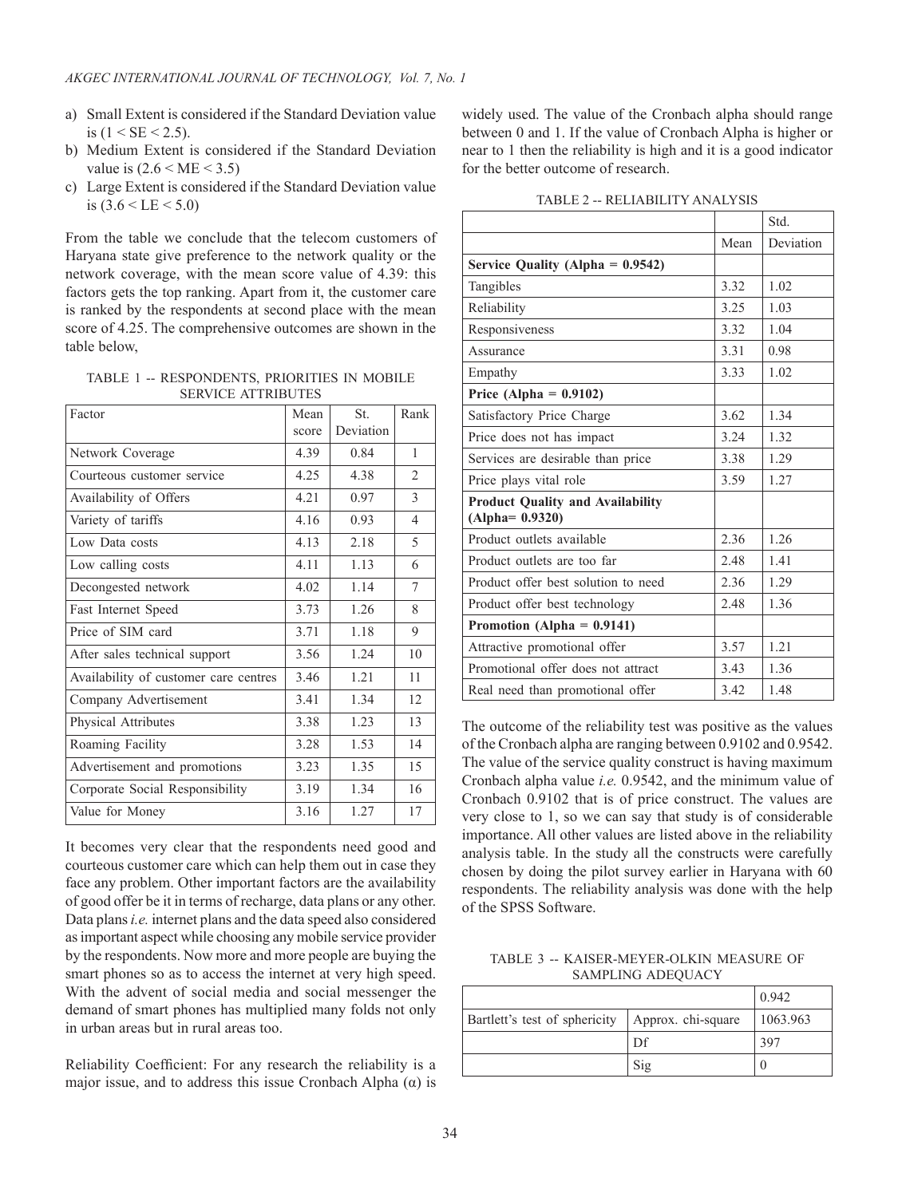- a) Small Extent is considered if the Standard Deviation value is  $(1 < SE < 2.5)$ .
- b) Medium Extent is considered if the Standard Deviation value is  $(2.6 < ME < 3.5)$
- c) Large Extent is considered if the Standard Deviation value is  $(3.6 <$  LE  $< 5.0)$

From the table we conclude that the telecom customers of Haryana state give preference to the network quality or the network coverage, with the mean score value of 4.39: this factors gets the top ranking. Apart from it, the customer care is ranked by the respondents at second place with the mean score of 4.25. The comprehensive outcomes are shown in the table below,

TABLE 1 -- RESPONDENTS, PRIORITIES IN MOBILE SERVICE ATTRIBUTES

| Factor                                | Mean  | St.       | Rank           |
|---------------------------------------|-------|-----------|----------------|
|                                       | score | Deviation |                |
| Network Coverage                      | 4.39  | 0.84      | 1              |
| Courteous customer service            | 4.25  | 4.38      | $\overline{2}$ |
| Availability of Offers                | 4.21  | 0.97      | $\mathcal{E}$  |
| Variety of tariffs                    | 4.16  | 0.93      | $\overline{4}$ |
| Low Data costs                        | 4.13  | 2.18      | 5              |
| Low calling costs                     | 4.11  | 1.13      | 6              |
| Decongested network                   | 4.02  | 1.14      | 7              |
| Fast Internet Speed                   | 3.73  | 1.26      | 8              |
| Price of SIM card                     | 3.71  | 1.18      | 9              |
| After sales technical support         | 3.56  | 1.24      | 10             |
| Availability of customer care centres | 3.46  | 1.21      | 11             |
| Company Advertisement                 | 3.41  | 1.34      | 12             |
| <b>Physical Attributes</b>            | 3.38  | 1.23      | 13             |
| Roaming Facility                      | 3.28  | 1.53      | 14             |
| Advertisement and promotions          | 3.23  | 1.35      | 15             |
| Corporate Social Responsibility       | 3.19  | 1.34      | 16             |
| Value for Money                       | 3.16  | 1.27      | 17             |

It becomes very clear that the respondents need good and courteous customer care which can help them out in case they face any problem. Other important factors are the availability of good offer be it in terms of recharge, data plans or any other. Data plans *i.e.* internet plans and the data speed also considered as important aspect while choosing any mobile service provider by the respondents. Now more and more people are buying the smart phones so as to access the internet at very high speed. With the advent of social media and social messenger the demand of smart phones has multiplied many folds not only in urban areas but in rural areas too.

Reliability Coefficient: For any research the reliability is a major issue, and to address this issue Cronbach Alpha  $(\alpha)$  is widely used. The value of the Cronbach alpha should range between 0 and 1. If the value of Cronbach Alpha is higher or near to 1 then the reliability is high and it is a good indicator for the better outcome of research.

| TABLE 2 -- RELIABILITY ANALYSIS |  |  |
|---------------------------------|--|--|
|---------------------------------|--|--|

|                                         |       | Std.      |
|-----------------------------------------|-------|-----------|
|                                         | Mean  | Deviation |
| Service Quality (Alpha = $0.9542$ )     |       |           |
| Tangibles                               | 3.32  | 1.02      |
| Reliability                             | 3.25  | 1.03      |
| Responsiveness                          | 3.32  | 1.04      |
| Assurance                               | 3 3 1 | 0.98      |
| Empathy                                 | 3.33  | 1.02      |
| Price (Alpha = $0.9102$ )               |       |           |
| Satisfactory Price Charge               | 3.62  | 1.34      |
| Price does not has impact               | 3.24  | 1.32      |
| Services are desirable than price       | 3.38  | 1.29      |
| Price plays vital role                  | 3.59  | 1.27      |
| <b>Product Quality and Availability</b> |       |           |
| $(Alpha=0.9320)$                        |       |           |
| Product outlets available               | 2.36  | 1.26      |
| Product outlets are too far             | 2.48  | 1.41      |
| Product offer best solution to need     | 2.36  | 1.29      |
| Product offer best technology           | 2.48  | 1.36      |
| Promotion (Alpha = $0.9141$ )           |       |           |
| Attractive promotional offer            | 3.57  | 1.21      |
| Promotional offer does not attract      | 3.43  | 1.36      |
| Real need than promotional offer        | 3.42  | 1.48      |

The outcome of the reliability test was positive as the values of the Cronbach alpha are ranging between 0.9102 and 0.9542. The value of the service quality construct is having maximum Cronbach alpha value *i.e.* 0.9542, and the minimum value of Cronbach 0.9102 that is of price construct. The values are very close to 1, so we can say that study is of considerable importance. All other values are listed above in the reliability analysis table. In the study all the constructs were carefully chosen by doing the pilot survey earlier in Haryana with 60 respondents. The reliability analysis was done with the help of the SPSS Software.

TABLE 3 -- KAISER-MEYER-OLKIN MEASURE OF SAMPLING ADEQUACY

|                               | 0.942              |          |
|-------------------------------|--------------------|----------|
| Bartlett's test of sphericity | Approx. chi-square | 1063.963 |
|                               | Df                 | 397      |
|                               | S1g                |          |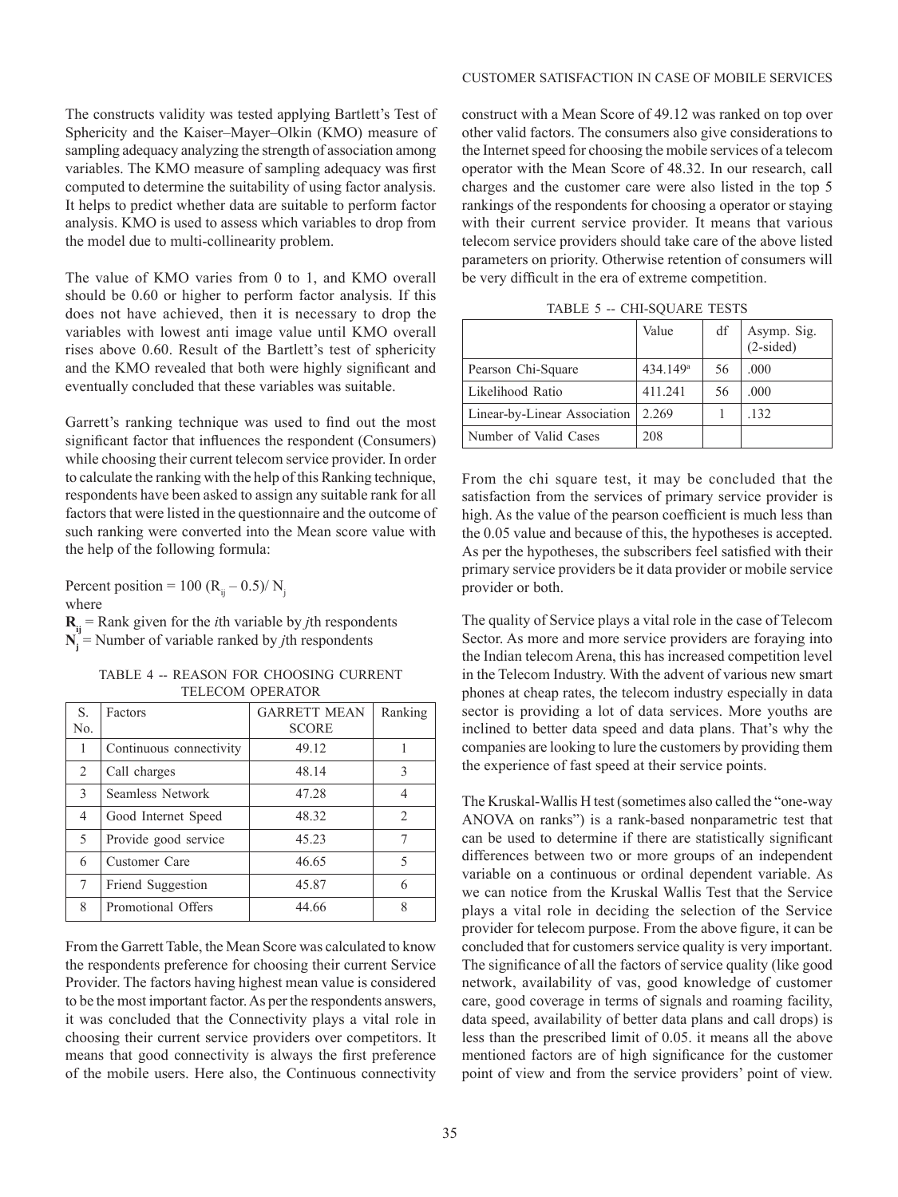The constructs validity was tested applying Bartlett's Test of Sphericity and the Kaiser–Mayer–Olkin (KMO) measure of sampling adequacy analyzing the strength of association among variables. The KMO measure of sampling adequacy was first computed to determine the suitability of using factor analysis. It helps to predict whether data are suitable to perform factor analysis. KMO is used to assess which variables to drop from the model due to multi-collinearity problem.

The value of KMO varies from 0 to 1, and KMO overall should be 0.60 or higher to perform factor analysis. If this does not have achieved, then it is necessary to drop the variables with lowest anti image value until KMO overall rises above 0.60. Result of the Bartlett's test of sphericity and the KMO revealed that both were highly significant and eventually concluded that these variables was suitable.

Garrett's ranking technique was used to find out the most significant factor that influences the respondent (Consumers) while choosing their current telecom service provider. In order to calculate the ranking with the help of this Ranking technique, respondents have been asked to assign any suitable rank for all factors that were listed in the questionnaire and the outcome of such ranking were converted into the Mean score value with the help of the following formula:

Percent position = 100  $(R_{ij} - 0.5) / N_{ij}$ where

 $R_{ij}$  = Rank given for the *i*th variable by *j*th respondents  $N_i$  = Number of variable ranked by *j*th respondents

TABLE 4 -- REASON FOR CHOOSING CURRENT TELECOM OPERATOR

| S.     | Factors                 | <b>GARRETT MEAN</b> | Ranking                       |
|--------|-------------------------|---------------------|-------------------------------|
| No.    |                         | <b>SCORE</b>        |                               |
| 1      | Continuous connectivity | 49.12               |                               |
| 2      | Call charges            | 48.14               | 3                             |
| 3      | Seamless Network        | 47.28               | 4                             |
| 4      | Good Internet Speed     | 48.32               | $\mathfrak{D}_{\mathfrak{p}}$ |
| 5      | Provide good service    | 45.23               | 7                             |
| 6      | Customer Care           | 46.65               | 5                             |
| $\tau$ | Friend Suggestion       | 45.87               | 6                             |
| 8      | Promotional Offers      | 44.66               | 8                             |

From the Garrett Table, the Mean Score was calculated to know the respondents preference for choosing their current Service Provider. The factors having highest mean value is considered to be the most important factor. As per the respondents answers, it was concluded that the Connectivity plays a vital role in choosing their current service providers over competitors. It means that good connectivity is always the first preference of the mobile users. Here also, the Continuous connectivity

#### CUSTOMER SATISFACTION IN CASE OF MOBILE SERVICES

construct with a Mean Score of 49.12 was ranked on top over other valid factors. The consumers also give considerations to the Internet speed for choosing the mobile services of a telecom operator with the Mean Score of 48.32. In our research, call charges and the customer care were also listed in the top 5 rankings of the respondents for choosing a operator or staying with their current service provider. It means that various telecom service providers should take care of the above listed parameters on priority. Otherwise retention of consumers will be very difficult in the era of extreme competition.

| $\frac{1}{11}$ the $\frac{1}{11}$ $\frac{1}{11}$ $\frac{1}{11}$ $\frac{1}{11}$ $\frac{1}{11}$ $\frac{1}{11}$ $\frac{1}{11}$ |                      |    |                          |  |
|-----------------------------------------------------------------------------------------------------------------------------|----------------------|----|--------------------------|--|
|                                                                                                                             | Value                | df | Asymp. Sig.<br>(2-sided) |  |
| Pearson Chi-Square                                                                                                          | 434.149 <sup>a</sup> | 56 | .000                     |  |
| Likelihood Ratio                                                                                                            | 411.241              | 56 | .000                     |  |
| Linear-by-Linear Association                                                                                                | 2.269                |    | .132                     |  |

Number of Valid Cases 208

TABLE 5 -- CHI-SQUARE TESTS

From the chi square test, it may be concluded that the satisfaction from the services of primary service provider is high. As the value of the pearson coefficient is much less than the 0.05 value and because of this, the hypotheses is accepted. As per the hypotheses, the subscribers feel satisfied with their primary service providers be it data provider or mobile service provider or both.

The quality of Service plays a vital role in the case of Telecom Sector. As more and more service providers are foraying into the Indian telecom Arena, this has increased competition level in the Telecom Industry. With the advent of various new smart phones at cheap rates, the telecom industry especially in data sector is providing a lot of data services. More youths are inclined to better data speed and data plans. That's why the companies are looking to lure the customers by providing them the experience of fast speed at their service points.

The Kruskal-Wallis H test (sometimes also called the "one-way ANOVA on ranks") is a rank-based nonparametric test that can be used to determine if there are statistically significant differences between two or more groups of an independent variable on a continuous or ordinal dependent variable. As we can notice from the Kruskal Wallis Test that the Service plays a vital role in deciding the selection of the Service provider for telecom purpose. From the above figure, it can be concluded that for customers service quality is very important. The significance of all the factors of service quality (like good network, availability of vas, good knowledge of customer care, good coverage in terms of signals and roaming facility, data speed, availability of better data plans and call drops) is less than the prescribed limit of 0.05. it means all the above mentioned factors are of high significance for the customer point of view and from the service providers' point of view.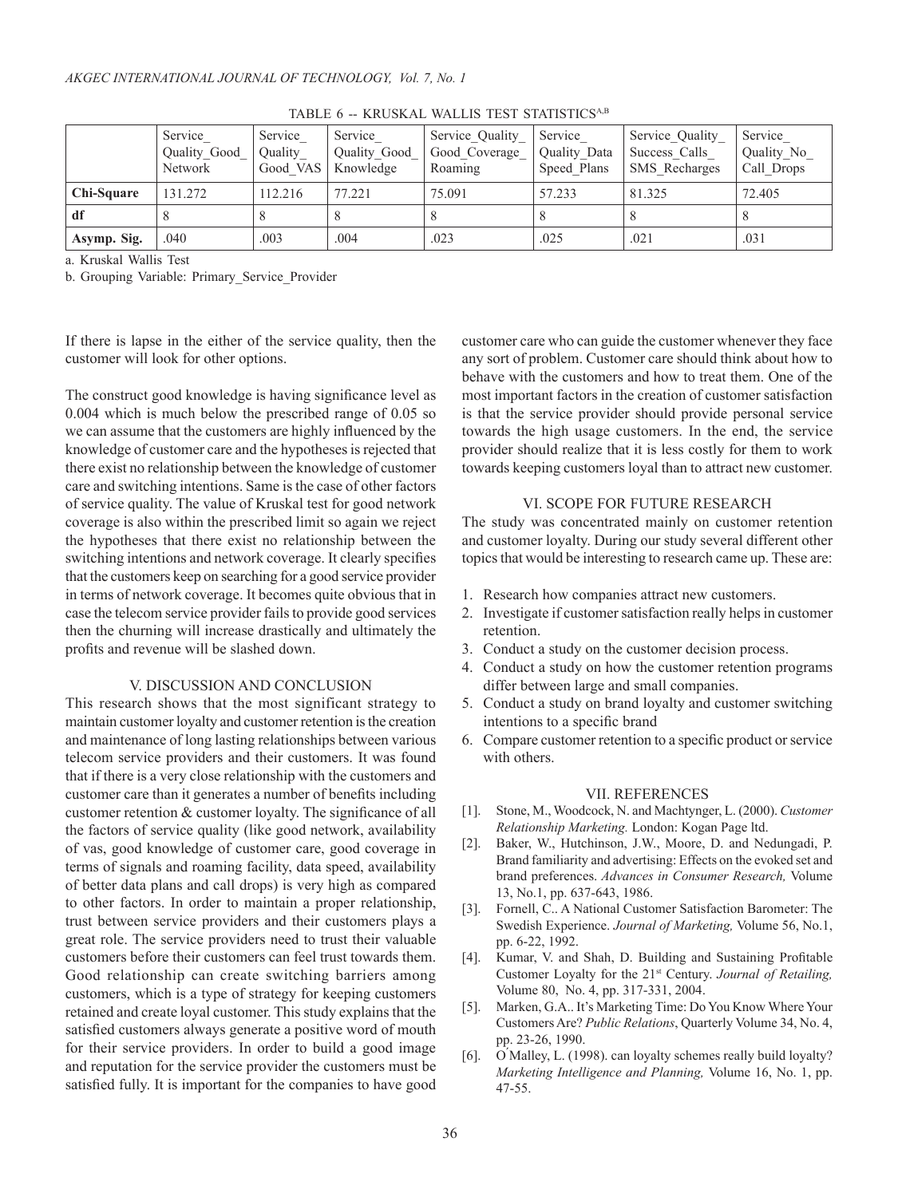|             | Service<br>Quality Good<br>Network | Service<br>Quality<br>Good VAS | Service<br>Quality Good<br>Knowledge | Service Quality<br>Good Coverage<br>Roaming | Service<br>Quality Data<br>Speed Plans | Service Quality<br>Success Calls<br><b>SMS</b> Recharges | Service<br>Quality No<br>Call Drops |
|-------------|------------------------------------|--------------------------------|--------------------------------------|---------------------------------------------|----------------------------------------|----------------------------------------------------------|-------------------------------------|
| Chi-Square  | 131.272                            | 112.216                        | 77.221                               | 75.091                                      | 57.233                                 | 81.325                                                   | 72.405                              |
| df          |                                    | $\circ$                        |                                      |                                             | Ö                                      |                                                          | $\Omega$                            |
| Asymp. Sig. | .040                               | .003                           | .004                                 | .023                                        | .025                                   | .021                                                     | .031                                |

TABLE 6 -- KRUSKAL WALLIS TEST STATISTICSA,B

a. Kruskal Wallis Test

b. Grouping Variable: Primary\_Service\_Provider

If there is lapse in the either of the service quality, then the customer will look for other options.

The construct good knowledge is having significance level as 0.004 which is much below the prescribed range of 0.05 so we can assume that the customers are highly influenced by the knowledge of customer care and the hypotheses is rejected that there exist no relationship between the knowledge of customer care and switching intentions. Same is the case of other factors of service quality. The value of Kruskal test for good network coverage is also within the prescribed limit so again we reject the hypotheses that there exist no relationship between the switching intentions and network coverage. It clearly specifies that the customers keep on searching for a good service provider in terms of network coverage. It becomes quite obvious that in case the telecom service provider fails to provide good services then the churning will increase drastically and ultimately the profits and revenue will be slashed down.

#### V. DISCUSSION AND CONCLUSION

This research shows that the most significant strategy to maintain customer loyalty and customer retention is the creation and maintenance of long lasting relationships between various telecom service providers and their customers. It was found that if there is a very close relationship with the customers and customer care than it generates a number of benefits including customer retention & customer loyalty. The significance of all the factors of service quality (like good network, availability of vas, good knowledge of customer care, good coverage in terms of signals and roaming facility, data speed, availability of better data plans and call drops) is very high as compared to other factors. In order to maintain a proper relationship, trust between service providers and their customers plays a great role. The service providers need to trust their valuable customers before their customers can feel trust towards them. Good relationship can create switching barriers among customers, which is a type of strategy for keeping customers retained and create loyal customer. This study explains that the satisfied customers always generate a positive word of mouth for their service providers. In order to build a good image and reputation for the service provider the customers must be satisfied fully. It is important for the companies to have good

customer care who can guide the customer whenever they face any sort of problem. Customer care should think about how to behave with the customers and how to treat them. One of the most important factors in the creation of customer satisfaction is that the service provider should provide personal service towards the high usage customers. In the end, the service provider should realize that it is less costly for them to work towards keeping customers loyal than to attract new customer.

### VI. SCOPE FOR FUTURE RESEARCH

The study was concentrated mainly on customer retention and customer loyalty. During our study several different other topics that would be interesting to research came up. These are:

- 1. Research how companies attract new customers.
- 2. Investigate if customer satisfaction really helps in customer retention.
- 3. Conduct a study on the customer decision process.
- 4. Conduct a study on how the customer retention programs differ between large and small companies.
- 5. Conduct a study on brand loyalty and customer switching intentions to a specific brand
- 6. Compare customer retention to a specific product or service with others.

#### VII. REFERENCES

- [1]. Stone, M., Woodcock, N. and Machtynger, L. (2000). *Customer Relationship Marketing.* London: Kogan Page ltd.
- [2]. Baker, W., Hutchinson, J.W., Moore, D. and Nedungadi, P. Brand familiarity and advertising: Effects on the evoked set and brand preferences. *Advances in Consumer Research,* Volume 13, No.1, pp. 637-643, 1986.
- [3]. Fornell, C.. A National Customer Satisfaction Barometer: The Swedish Experience. *Journal of Marketing,* Volume 56, No.1, pp. 6-22, 1992.
- [4]. Kumar, V. and Shah, D. Building and Sustaining Profitable Customer Loyalty for the 21st Century. *Journal of Retailing,*  Volume 80, No. 4, pp. 317-331, 2004.
- [5]. Marken, G.A.. It's Marketing Time: Do You Know Where Your Customers Are? *Public Relations*, Quarterly Volume 34, No. 4, pp. 23-26, 1990.
- [6]. O'Malley, L. (1998). can loyalty schemes really build loyalty? *Marketing Intelligence and Planning,* Volume 16, No. 1, pp. 47-55.